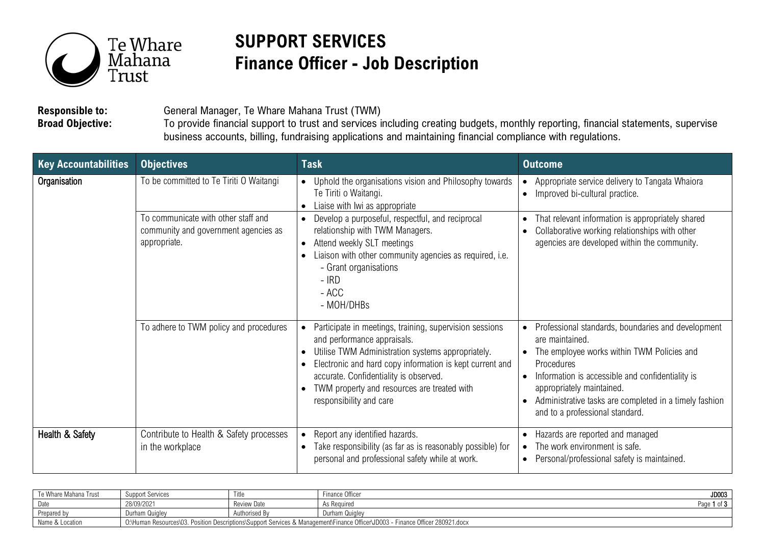

## **SUPPORT SERVICES Finance Officer - Job Description**

**Responsible to:** General Manager, Te Whare Mahana Trust (TWM)<br>**Broad Objective:** To provide financial support to trust and services i

**Broad Objective:** To provide financial support to trust and services including creating budgets, monthly reporting, financial statements, supervise business accounts, billing, fundraising applications and maintaining financial compliance with regulations.

| <b>Key Accountabilities</b> | <b>Objectives</b>                                                              | <b>Task</b>                                                                                                                                                                                                                                                                                                                 | <b>Outcome</b>                                                                                                                                                                                                                                                                                                                            |
|-----------------------------|--------------------------------------------------------------------------------|-----------------------------------------------------------------------------------------------------------------------------------------------------------------------------------------------------------------------------------------------------------------------------------------------------------------------------|-------------------------------------------------------------------------------------------------------------------------------------------------------------------------------------------------------------------------------------------------------------------------------------------------------------------------------------------|
| Organisation                | To be committed to Te Tiriti O Waitangi<br>To communicate with other staff and | Uphold the organisations vision and Philosophy towards<br>Te Tiriti o Waitangi.<br>Liaise with Iwi as appropriate<br>Develop a purposeful, respectful, and reciprocal                                                                                                                                                       | Appropriate service delivery to Tangata Whaiora<br>Improved bi-cultural practice.<br>$\bullet$<br>That relevant information is appropriately shared<br>$\bullet$                                                                                                                                                                          |
|                             | community and government agencies as<br>appropriate.                           | relationship with TWM Managers.<br>Attend weekly SLT meetings<br>$\bullet$<br>Liaison with other community agencies as required, i.e.<br>- Grant organisations<br>$-$ IRD<br>- ACC<br>- MOH/DHBs                                                                                                                            | Collaborative working relationships with other<br>$\bullet$<br>agencies are developed within the community.                                                                                                                                                                                                                               |
|                             | To adhere to TWM policy and procedures                                         | Participate in meetings, training, supervision sessions<br>and performance appraisals.<br>Utilise TWM Administration systems appropriately.<br>Electronic and hard copy information is kept current and<br>accurate. Confidentiality is observed.<br>TWM property and resources are treated with<br>responsibility and care | Professional standards, boundaries and development<br>$\bullet$<br>are maintained.<br>The employee works within TWM Policies and<br>Procedures<br>Information is accessible and confidentiality is<br>appropriately maintained.<br>Administrative tasks are completed in a timely fashion<br>$\bullet$<br>and to a professional standard. |
| Health & Safety             | Contribute to Health & Safety processes<br>in the workplace                    | Report any identified hazards.<br>Take responsibility (as far as is reasonably possible) for<br>personal and professional safety while at work.                                                                                                                                                                             | Hazards are reported and managed<br>$\bullet$<br>The work environment is safe.<br>$\bullet$<br>Personal/professional safety is maintained.<br>$\bullet$                                                                                                                                                                                   |

| Te Whare Mahana Trust | Support Services                                                                                                                            | l itle             | Finance Officer | JD003                   |
|-----------------------|---------------------------------------------------------------------------------------------------------------------------------------------|--------------------|-----------------|-------------------------|
| Date                  | 28/09/2021                                                                                                                                  | <b>Review Date</b> | As Required     | $-$ fn<br>Page<br>ט ו ט |
| Prepared by           | Durham Quiglev                                                                                                                              | Authorised By      | Durham Quigley  |                         |
| Name & Location       | · Finance Officer 280921.docx<br>?. Position Descriptions\Support Services & Management\Finance Officer\JD003 - L<br>O:\Human Resources\03. |                    |                 |                         |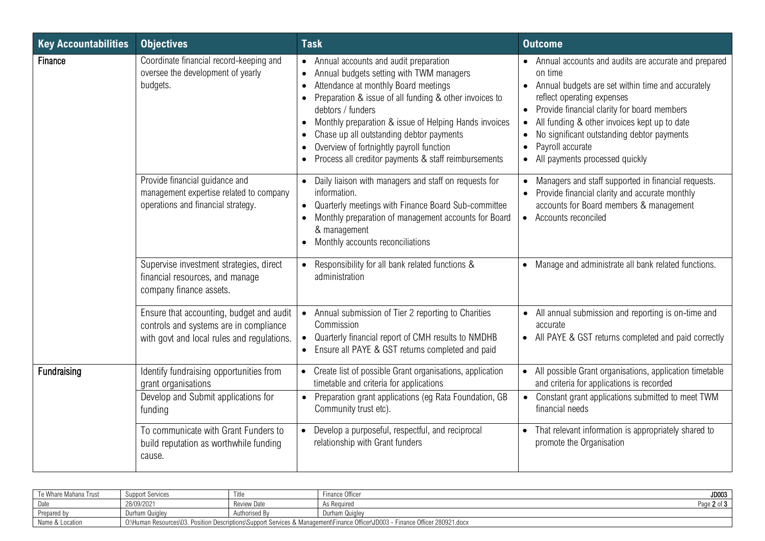| <b>Key Accountabilities</b> | <b>Objectives</b>                                                                                                                | <b>Task</b>                                                                                                                                                                                                                                                                                                                                                                                                                      | <b>Outcome</b>                                                                                                                                                                                                                                                                                                                                                                                                                      |
|-----------------------------|----------------------------------------------------------------------------------------------------------------------------------|----------------------------------------------------------------------------------------------------------------------------------------------------------------------------------------------------------------------------------------------------------------------------------------------------------------------------------------------------------------------------------------------------------------------------------|-------------------------------------------------------------------------------------------------------------------------------------------------------------------------------------------------------------------------------------------------------------------------------------------------------------------------------------------------------------------------------------------------------------------------------------|
| Finance                     | Coordinate financial record-keeping and<br>oversee the development of yearly<br>budgets.                                         | • Annual accounts and audit preparation<br>Annual budgets setting with TWM managers<br>Attendance at monthly Board meetings<br>Preparation & issue of all funding & other invoices to<br>debtors / funders<br>Monthly preparation & issue of Helping Hands invoices<br>$\bullet$<br>Chase up all outstanding debtor payments<br>Overview of fortnightly payroll function<br>Process all creditor payments & staff reimbursements | Annual accounts and audits are accurate and prepared<br>on time<br>Annual budgets are set within time and accurately<br>$\bullet$<br>reflect operating expenses<br>Provide financial clarity for board members<br>$\bullet$<br>All funding & other invoices kept up to date<br>$\bullet$<br>No significant outstanding debtor payments<br>$\bullet$<br>Payroll accurate<br>$\bullet$<br>All payments processed quickly<br>$\bullet$ |
|                             | Provide financial guidance and<br>management expertise related to company<br>operations and financial strategy.                  | • Daily liaison with managers and staff on requests for<br>information.<br>Quarterly meetings with Finance Board Sub-committee<br>Monthly preparation of management accounts for Board<br>& management<br>Monthly accounts reconciliations                                                                                                                                                                                       | Managers and staff supported in financial requests.<br>$\bullet$<br>Provide financial clarity and accurate monthly<br>$\bullet$<br>accounts for Board members & management<br>• Accounts reconciled                                                                                                                                                                                                                                 |
|                             | Supervise investment strategies, direct<br>financial resources, and manage<br>company finance assets.                            | Responsibility for all bank related functions &<br>administration                                                                                                                                                                                                                                                                                                                                                                | • Manage and administrate all bank related functions.                                                                                                                                                                                                                                                                                                                                                                               |
|                             | Ensure that accounting, budget and audit<br>controls and systems are in compliance<br>with govt and local rules and regulations. | • Annual submission of Tier 2 reporting to Charities<br>Commission<br>Quarterly financial report of CMH results to NMDHB<br>Ensure all PAYE & GST returns completed and paid<br>$\bullet$                                                                                                                                                                                                                                        | • All annual submission and reporting is on-time and<br>accurate<br>• All PAYE & GST returns completed and paid correctly                                                                                                                                                                                                                                                                                                           |
| Fundraising                 | Identify fundraising opportunities from<br>grant organisations                                                                   | Create list of possible Grant organisations, application<br>timetable and criteria for applications                                                                                                                                                                                                                                                                                                                              | All possible Grant organisations, application timetable<br>$\bullet$<br>and criteria for applications is recorded                                                                                                                                                                                                                                                                                                                   |
|                             | Develop and Submit applications for<br>funding                                                                                   | Preparation grant applications (eg Rata Foundation, GB<br>Community trust etc).                                                                                                                                                                                                                                                                                                                                                  | Constant grant applications submitted to meet TWM<br>$\bullet$<br>financial needs                                                                                                                                                                                                                                                                                                                                                   |
|                             | To communicate with Grant Funders to<br>build reputation as worthwhile funding<br>cause.                                         | Develop a purposeful, respectful, and reciprocal<br>$\bullet$<br>relationship with Grant funders                                                                                                                                                                                                                                                                                                                                 | That relevant information is appropriately shared to<br>$\bullet$<br>promote the Organisation                                                                                                                                                                                                                                                                                                                                       |

| Te Whare Mahana Trust | Support Services                                                                                                                       | itle          | Finance Officer | JD003        |
|-----------------------|----------------------------------------------------------------------------------------------------------------------------------------|---------------|-----------------|--------------|
| Date                  | 28/09/2021                                                                                                                             | Review Date   | As Required     | Page<br>יטיש |
| Prepared by           | Durham Quiglev                                                                                                                         | Authorised By | Durham Quigley  |              |
| Name & Location       | - Finance Officer 280921.docx<br>Position Descriptions\Support Services & Management\Finance Officer\JD003 -<br>O:\Human Resources\03. |               |                 |              |